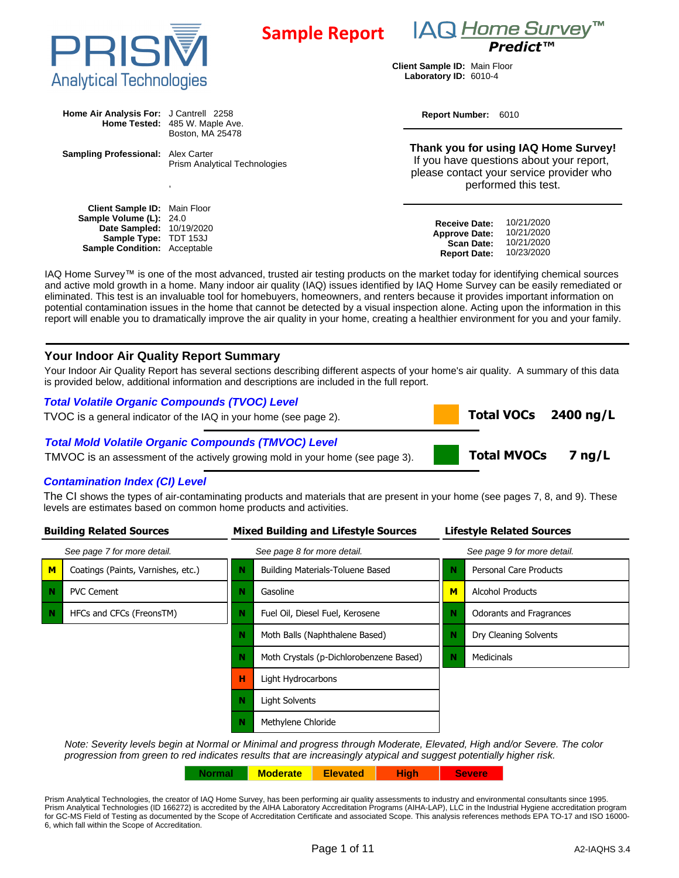



 **Total VOCs 2400 ng/L**

 **Total MVOCs 7 ng/L**

**Client Sample ID:** Main Floor **Laboratory ID:** 6010-4

| Home Air Analysis For: J Cantrell 2258<br>Home Tested: 485 W. Maple Ave. | Report Number: 6010                  |                                                                                                                                                      |  |
|--------------------------------------------------------------------------|--------------------------------------|------------------------------------------------------------------------------------------------------------------------------------------------------|--|
|                                                                          | Boston, MA 25478                     |                                                                                                                                                      |  |
| <b>Sampling Professional:</b> Alex Carter                                | <b>Prism Analytical Technologies</b> | Thank you for using IAQ Home Survey!<br>If you have questions about your report,<br>please contact your service provider who<br>performed this test. |  |
|                                                                          |                                      |                                                                                                                                                      |  |

| <b>Client Sample ID:</b> Main Floor |                                 |            |
|-------------------------------------|---------------------------------|------------|
| <b>Sample Volume (L): 24.0</b>      | <b>Receive Date:</b>            | 10/21/2020 |
| <b>Date Sampled: 10/19/2020</b>     | <b>Approve Date: 10/21/2020</b> |            |
| <b>Sample Type: TDT 153J</b>        | <b>Scan Date: 10/21/2020</b>    |            |
| <b>Sample Condition:</b> Acceptable | <b>Report Date: 10/23/2020</b>  |            |
|                                     |                                 |            |

IAQ Home Survey™ is one of the most advanced, trusted air testing products on the market today for identifying chemical sources and active mold growth in a home. Many indoor air quality (IAQ) issues identified by IAQ Home Survey can be easily remediated or eliminated. This test is an invaluable tool for homebuyers, homeowners, and renters because it provides important information on potential contamination issues in the home that cannot be detected by a visual inspection alone. Acting upon the information in this report will enable you to dramatically improve the air quality in your home, creating a healthier environment for you and your family.

## **Your Indoor Air Quality Report Summary**

Your Indoor Air Quality Report has several sections describing different aspects of your home's air quality. A summary of this data is provided below, additional information and descriptions are included in the full report.

# **Total Volatile Organic Compounds (TVOC) Level**

TVOC is a general indicator of the IAQ in your home (see page 2).

#### **Total Mold Volatile Organic Compounds (TMVOC) Level**

TMVOC is an assessment of the actively growing mold in your home (see page 3).

#### **Contamination Index (CI) Level**

The CI shows the types of air-contaminating products and materials that are present in your home (see pages 7, 8, and 9). These levels are estimates based on common home products and activities.

| <b>Building Related Sources</b> |                                    |   | <b>Mixed Building and Lifestyle Sources</b> | <b>Lifestyle Related Sources</b> |                                |
|---------------------------------|------------------------------------|---|---------------------------------------------|----------------------------------|--------------------------------|
| See page 7 for more detail.     |                                    |   | See page 8 for more detail.                 | See page 9 for more detail.      |                                |
| M                               | Coatings (Paints, Varnishes, etc.) |   | <b>Building Materials-Toluene Based</b>     | N                                | Personal Care Products         |
| N                               | <b>PVC Cement</b>                  | Ν | Gasoline                                    | M                                | <b>Alcohol Products</b>        |
| N                               | HFCs and CFCs (FreonsTM)           | N | Fuel Oil, Diesel Fuel, Kerosene             | N                                | <b>Odorants and Fragrances</b> |
|                                 |                                    | N | Moth Balls (Naphthalene Based)              | N                                | Dry Cleaning Solvents          |
|                                 |                                    | N | Moth Crystals (p-Dichlorobenzene Based)     | N                                | Medicinals                     |
|                                 |                                    | н | Light Hydrocarbons                          |                                  |                                |
|                                 |                                    | N | Light Solvents                              |                                  |                                |
|                                 |                                    | N | Methylene Chloride                          |                                  |                                |

Note: Severity levels begin at Normal or Minimal and progress through Moderate, Elevated, High and/or Severe. The color progression from green to red indicates results that are increasingly atypical and suggest potentially higher risk.

**Normal Moderate Elevated High Severe**

Prism Analytical Technologies, the creator of IAQ Home Survey, has been performing air quality assessments to industry and environmental consultants since 1995. Prism Analytical Technologies (ID 166272) is accredited by the AIHA Laboratory Accreditation Programs (AIHA-LAP), LLC in the Industrial Hygiene accreditation program for GC-MS Field of Testing as documented by the Scope of Accreditation Certificate and associated Scope. This analysis references methods EPA TO-17 and ISO 16000- 6, which fall within the Scope of Accreditation.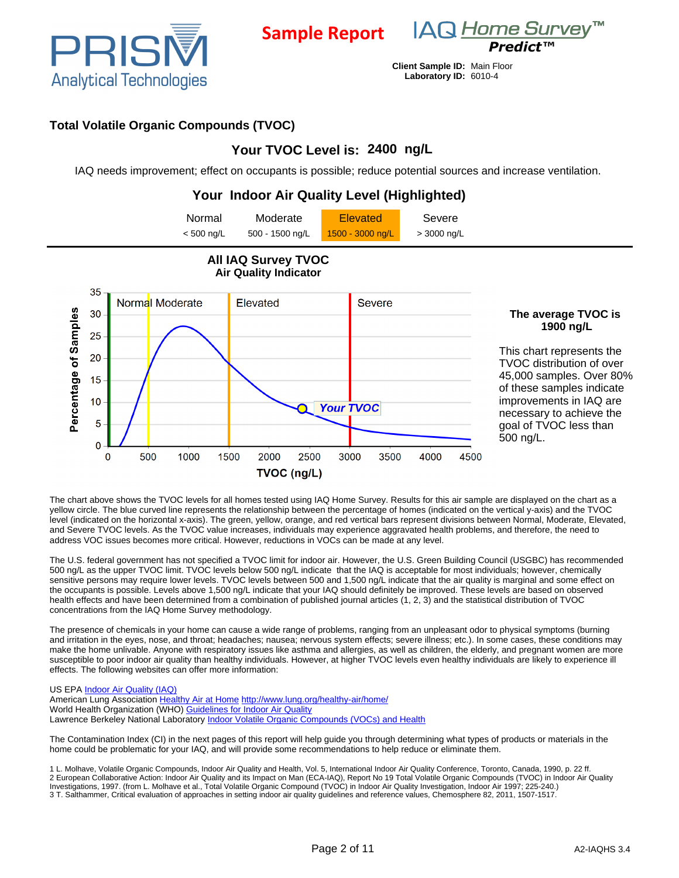

**Sample Report**



**Client Sample ID:** Main Floor **Laboratory ID:** 6010-4

# **Total Volatile Organic Compounds (TVOC)**

# **Your TVOC Level is: 2400 ng/L**

IAQ needs improvement; effect on occupants is possible; reduce potential sources and increase ventilation.

#### **Your Indoor Air Quality Level (Highlighted)** Normal Moderate **Elevated** Severe  $<$  500 ng/L 500 - 1500 ng/L  $\frac{1500 - 3000 \text{ ng/L}}{1500 - 3000 \text{ ng/L}}$  > 3000 ng/L **All IAQ Survey TVOC Air Quality Indicator** 35 Normal Moderate Elevated **Severe** Percentage of Samples 30 **The average TVOC is 1900 ng/L** 25 This chart represents the 20 TVOC distribution of over 45,000 samples. Over 80% 15 of these samples indicate improvements in IAQ are  $10$ **Your TVOC** necessary to achieve the  $\overline{5}$ goal of TVOC less than 500 ng/L.  $\overline{0}$  $\overline{0}$ 500 1000 1500 2000 2500 3000 4500 3500 4000 TVOC (ng/L)

The chart above shows the TVOC levels for all homes tested using IAQ Home Survey. Results for this air sample are displayed on the chart as a yellow circle. The blue curved line represents the relationship between the percentage of homes (indicated on the vertical y-axis) and the TVOC level (indicated on the horizontal x-axis). The green, yellow, orange, and red vertical bars represent divisions between Normal, Moderate, Elevated, and Severe TVOC levels. As the TVOC value increases, individuals may experience aggravated health problems, and therefore, the need to address VOC issues becomes more critical. However, reductions in VOCs can be made at any level.

The U.S. federal government has not specified a TVOC limit for indoor air. However, the U.S. Green Building Council (USGBC) has recommended 500 ng/L as the upper TVOC limit. TVOC levels below 500 ng/L indicate that the IAQ is acceptable for most individuals; however, chemically sensitive persons may require lower levels. TVOC levels between 500 and 1,500 ng/L indicate that the air quality is marginal and some effect on the occupants is possible. Levels above 1,500 ng/L indicate that your IAQ should definitely be improved. These levels are based on observed health effects and have been determined from a combination of published journal articles (1, 2, 3) and the statistical distribution of TVOC concentrations from the IAQ Home Survey methodology.

The presence of chemicals in your home can cause a wide range of problems, ranging from an unpleasant odor to physical symptoms (burning and irritation in the eyes, nose, and throat; headaches; nausea; nervous system effects; severe illness; etc.). In some cases, these conditions may make the home unlivable. Anyone with respiratory issues like asthma and allergies, as well as children, the elderly, and pregnant women are more susceptible to poor indoor air quality than healthy individuals. However, at higher TVOC levels even healthy individuals are likely to experience ill effects. The following websites can offer more information:

#### US EPA **Indoor Air Quality (IAQ)**

American Lung Association [Healthy Air at Home](http://www.lung.org/healthy-air/home/) <http://www.lung.org/healthy-air/home/> World Health Organization (WHO) [Guidelines for Indoor Air Quality](http://www.euro.who.int/en/what-we-do/health-topics/environment-and-health/air-quality/policy/indoor-air-quality) Lawrence Berkeley National Laboratory [Indoor Volatile Organic Compounds \(VOCs\) and Health](http://www.iaqscience.lbl.gov/voc-introduction.html)

The Contamination Index (CI) in the next pages of this report will help guide you through determining what types of products or materials in the home could be problematic for your IAQ, and will provide some recommendations to help reduce or eliminate them.

1 L. Molhave, Volatile Organic Compounds, Indoor Air Quality and Health, Vol. 5, International Indoor Air Quality Conference, Toronto, Canada, 1990, p. 22 ff. 2 European Collaborative Action: Indoor Air Quality and its Impact on Man (ECA-IAQ), Report No 19 Total Volatile Organic Compounds (TVOC) in Indoor Air Quality Investigations, 1997. (from L. Molhave et al., Total Volatile Organic Compound (TVOC) in Indoor Air Quality Investigation, Indoor Air 1997; 225-240.) 3 T. Salthammer, Critical evaluation of approaches in setting indoor air quality guidelines and reference values, Chemosphere 82, 2011, 1507-1517.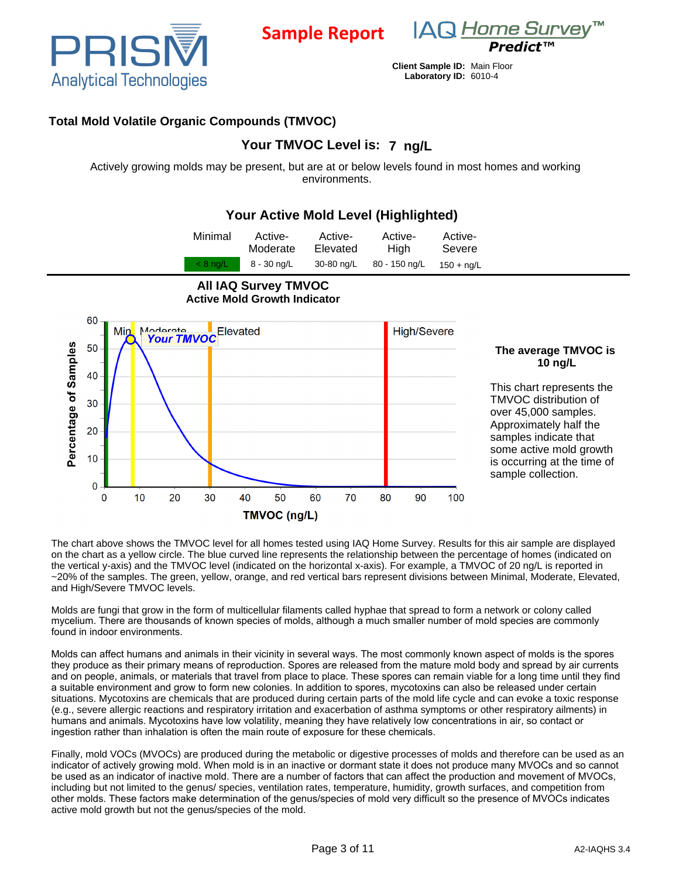

**Sample Report**



**Client Sample ID:** Main Floor **Laboratory ID:** 6010-4

# **Total Mold Volatile Organic Compounds (TMVOC)**

# **Your TMVOC Level is: 7 ng/L**

Actively growing molds may be present, but are at or below levels found in most homes and working environments.

# **Your Active Mold Level (Highlighted)**

| Minimal    | Active-     | Active-    | Active-       | Active-      |  |
|------------|-------------|------------|---------------|--------------|--|
|            | Moderate    | Elevated   | <b>High</b>   | Severe       |  |
| $< 8$ ng/L | 8 - 30 ng/L | 30-80 ng/L | 80 - 150 ng/L | $150 + nq/L$ |  |



### **The average TMVOC is 10 ng/L**

This chart represents the TMVOC distribution of over 45,000 samples. Approximately half the samples indicate that some active mold growth is occurring at the time of sample collection.

The chart above shows the TMVOC level for all homes tested using IAQ Home Survey. Results for this air sample are displayed on the chart as a yellow circle. The blue curved line represents the relationship between the percentage of homes (indicated on the vertical y-axis) and the TMVOC level (indicated on the horizontal x-axis). For example, a TMVOC of 20 ng/L is reported in ~20% of the samples. The green, yellow, orange, and red vertical bars represent divisions between Minimal, Moderate, Elevated, and High/Severe TMVOC levels.

Molds are fungi that grow in the form of multicellular filaments called hyphae that spread to form a network or colony called mycelium. There are thousands of known species of molds, although a much smaller number of mold species are commonly found in indoor environments.

Molds can affect humans and animals in their vicinity in several ways. The most commonly known aspect of molds is the spores they produce as their primary means of reproduction. Spores are released from the mature mold body and spread by air currents and on people, animals, or materials that travel from place to place. These spores can remain viable for a long time until they find a suitable environment and grow to form new colonies. In addition to spores, mycotoxins can also be released under certain situations. Mycotoxins are chemicals that are produced during certain parts of the mold life cycle and can evoke a toxic response (e.g., severe allergic reactions and respiratory irritation and exacerbation of asthma symptoms or other respiratory ailments) in humans and animals. Mycotoxins have low volatility, meaning they have relatively low concentrations in air, so contact or ingestion rather than inhalation is often the main route of exposure for these chemicals.

Finally, mold VOCs (MVOCs) are produced during the metabolic or digestive processes of molds and therefore can be used as an indicator of actively growing mold. When mold is in an inactive or dormant state it does not produce many MVOCs and so cannot be used as an indicator of inactive mold. There are a number of factors that can affect the production and movement of MVOCs, including but not limited to the genus/ species, ventilation rates, temperature, humidity, growth surfaces, and competition from other molds. These factors make determination of the genus/species of mold very difficult so the presence of MVOCs indicates active mold growth but not the genus/species of the mold.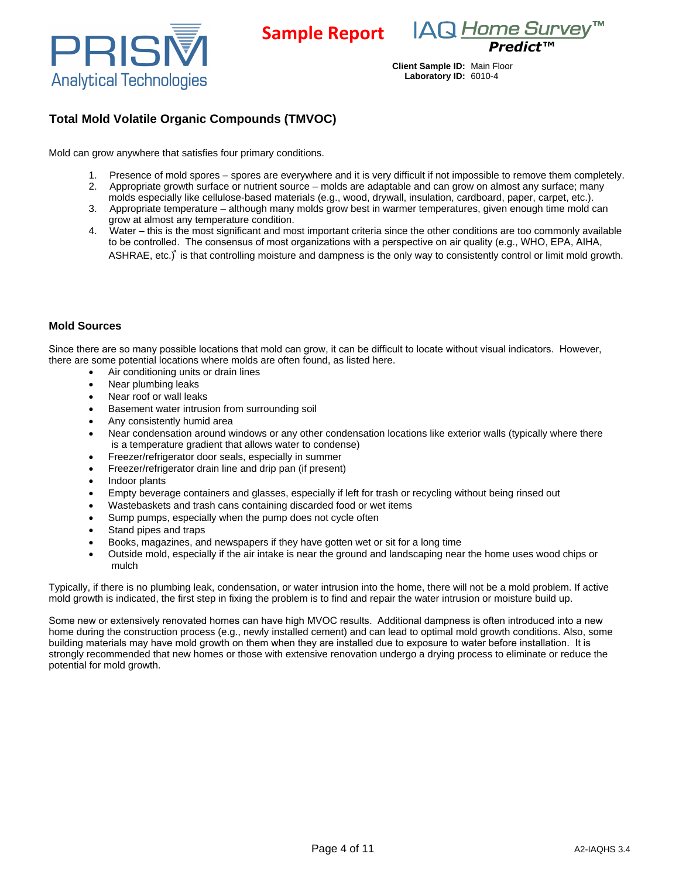

IAQ Home Survey™ *Predict™*

# **Total Mold Volatile Organic Compounds (TMVOC)**

Mold can grow anywhere that satisfies four primary conditions.

- Presence of mold spores spores are everywhere and it is very difficult if not impossible to remove them completely.
- 2. Appropriate growth surface or nutrient source molds are adaptable and can grow on almost any surface; many molds especially like cellulose-based materials (e.g., wood, drywall, insulation, cardboard, paper, carpet, etc.).

**Sample Report**

- 3. Appropriate temperature although many molds grow best in warmer temperatures, given enough time mold can grow at almost any temperature condition.
- 4. Water this is the most significant and most important criteria since the other conditions are too commonly available to be controlled. The consensus of most organizations with a perspective on air quality (e.g., WHO, EPA, AIHA, ASHRAE, etc.)<sup>®</sup> is that controlling moisture and dampness is the only way to consistently control or limit mold growth.

#### **Mold Sources**

Since there are so many possible locations that mold can grow, it can be difficult to locate without visual indicators. However, there are some potential locations where molds are often found, as listed here.

- Air conditioning units or drain lines
- Near plumbing leaks
- Near roof or wall leaks
- Basement water intrusion from surrounding soil
- Any consistently humid area
- Near condensation around windows or any other condensation locations like exterior walls (typically where there is a temperature gradient that allows water to condense)
- Freezer/refrigerator door seals, especially in summer
- Freezer/refrigerator drain line and drip pan (if present)
- · Indoor plants
- Empty beverage containers and glasses, especially if left for trash or recycling without being rinsed out
- Wastebaskets and trash cans containing discarded food or wet items
- Sump pumps, especially when the pump does not cycle often
- Stand pipes and traps
- Books, magazines, and newspapers if they have gotten wet or sit for a long time
- · Outside mold, especially if the air intake is near the ground and landscaping near the home uses wood chips or mulch

Typically, if there is no plumbing leak, condensation, or water intrusion into the home, there will not be a mold problem. If active mold growth is indicated, the first step in fixing the problem is to find and repair the water intrusion or moisture build up.

Some new or extensively renovated homes can have high MVOC results. Additional dampness is often introduced into a new home during the construction process (e.g., newly installed cement) and can lead to optimal mold growth conditions. Also, some building materials may have mold growth on them when they are installed due to exposure to water before installation. It is strongly recommended that new homes or those with extensive renovation undergo a drying process to eliminate or reduce the potential for mold growth.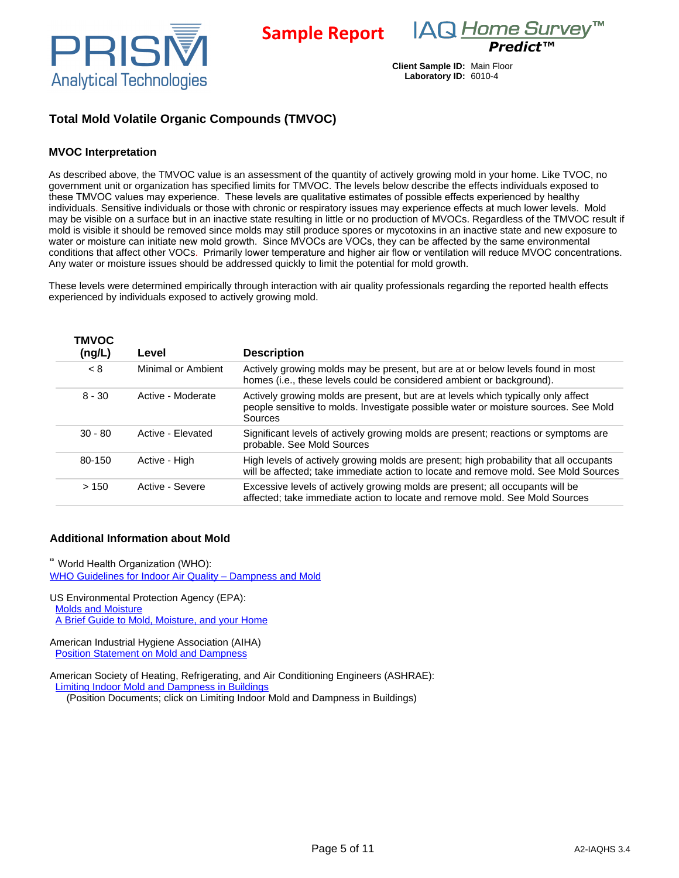

**Sample Report**

*Predict™*

**Client Sample ID:** Main Floor **Laboratory ID:** 6010-4

# **Total Mold Volatile Organic Compounds (TMVOC)**

#### **MVOC Interpretation**

As described above, the TMVOC value is an assessment of the quantity of actively growing mold in your home. Like TVOC, no government unit or organization has specified limits for TMVOC. The levels below describe the effects individuals exposed to these TMVOC values may experience. These levels are qualitative estimates of possible effects experienced by healthy individuals. Sensitive individuals or those with chronic or respiratory issues may experience effects at much lower levels. Mold may be visible on a surface but in an inactive state resulting in little or no production of MVOCs. Regardless of the TMVOC result if mold is visible it should be removed since molds may still produce spores or mycotoxins in an inactive state and new exposure to water or moisture can initiate new mold growth. Since MVOCs are VOCs, they can be affected by the same environmental conditions that affect other VOCs. Primarily lower temperature and higher air flow or ventilation will reduce MVOC concentrations. Any water or moisture issues should be addressed quickly to limit the potential for mold growth.

These levels were determined empirically through interaction with air quality professionals regarding the reported health effects experienced by individuals exposed to actively growing mold.

| <b>TMVOC</b><br>(ng/L) | Level              | <b>Description</b>                                                                                                                                                                  |
|------------------------|--------------------|-------------------------------------------------------------------------------------------------------------------------------------------------------------------------------------|
| < 8                    | Minimal or Ambient | Actively growing molds may be present, but are at or below levels found in most<br>homes (i.e., these levels could be considered ambient or background).                            |
| $8 - 30$               | Active - Moderate  | Actively growing molds are present, but are at levels which typically only affect<br>people sensitive to molds. Investigate possible water or moisture sources. See Mold<br>Sources |
| $30 - 80$              | Active - Elevated  | Significant levels of actively growing molds are present; reactions or symptoms are<br>probable. See Mold Sources                                                                   |
| 80-150                 | Active - High      | High levels of actively growing molds are present; high probability that all occupants<br>will be affected; take immediate action to locate and remove mold. See Mold Sources       |
| >150                   | Active - Severe    | Excessive levels of actively growing molds are present; all occupants will be<br>affected; take immediate action to locate and remove mold. See Mold Sources                        |

#### **Additional Information about Mold**

<sup>38</sup> World Health Organization (WHO): [WHO Guidelines for Indoor Air Quality](http://www.euro.who.int/__data/assets/pdf_file/0017/43325/E92645.pdf) [–](http://www.euro.who.int/__data/assets/pdf_file/0017/43325/E92645.pdf) [Dampness and Mold](http://www.euro.who.int/__data/assets/pdf_file/0017/43325/E92645.pdf)

US Environmental Protection Agency (EPA): [Molds and Moisture](http://www.epa.gov/mold/) [A Brief Guide to Mold, Moisture, and your Home](http://www.epa.gov/mold/moldguide.html)

American Industrial Hygiene Association (AIHA) [Position Statement on Mold and Dampness](http://www.aiha.org/government-affairs/PositionStatements/P-Mold-03-26-13.pdf) 

American Society of Heating, Refrigerating, and Air Conditioning Engineers (ASHRAE): [Limiting Indoor Mold and Dampness in Buildings](https://www.ashrae.org/about-ashrae/position-documents)

(Position Documents; click on Limiting Indoor Mold and Dampness in Buildings)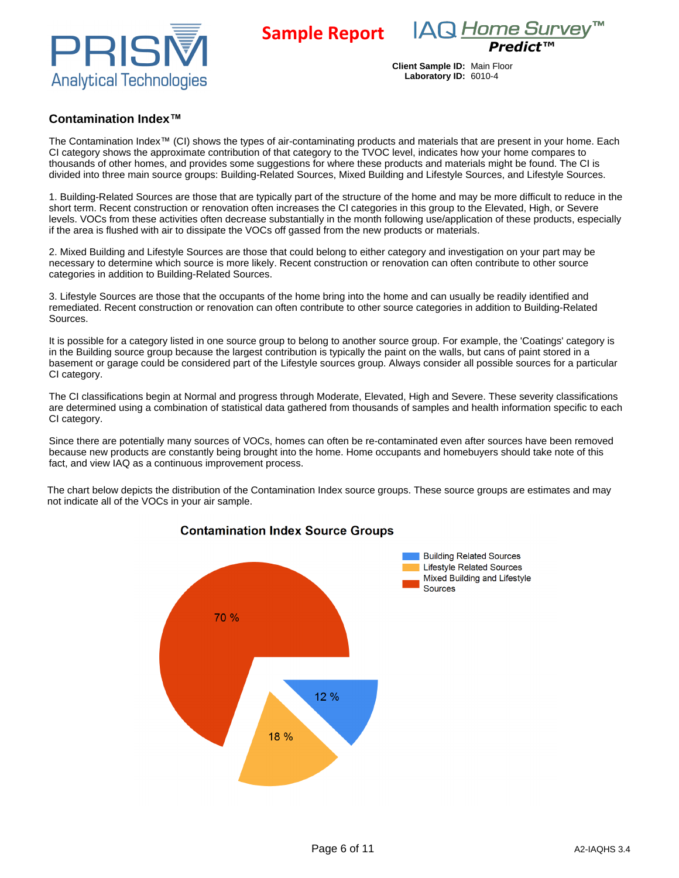





## **Contamination Index™**

The Contamination Index™ (CI) shows the types of air-contaminating products and materials that are present in your home. Each CI category shows the approximate contribution of that category to the TVOC level, indicates how your home compares to thousands of other homes, and provides some suggestions for where these products and materials might be found. The CI is divided into three main source groups: Building-Related Sources, Mixed Building and Lifestyle Sources, and Lifestyle Sources.

1. Building-Related Sources are those that are typically part of the structure of the home and may be more difficult to reduce in the short term. Recent construction or renovation often increases the CI categories in this group to the Elevated, High, or Severe levels. VOCs from these activities often decrease substantially in the month following use/application of these products, especially if the area is flushed with air to dissipate the VOCs off gassed from the new products or materials.

2. Mixed Building and Lifestyle Sources are those that could belong to either category and investigation on your part may be necessary to determine which source is more likely. Recent construction or renovation can often contribute to other source categories in addition to Building-Related Sources.

3. Lifestyle Sources are those that the occupants of the home bring into the home and can usually be readily identified and remediated. Recent construction or renovation can often contribute to other source categories in addition to Building-Related Sources.

It is possible for a category listed in one source group to belong to another source group. For example, the 'Coatings' category is in the Building source group because the largest contribution is typically the paint on the walls, but cans of paint stored in a basement or garage could be considered part of the Lifestyle sources group. Always consider all possible sources for a particular CI category.

The CI classifications begin at Normal and progress through Moderate, Elevated, High and Severe. These severity classifications are determined using a combination of statistical data gathered from thousands of samples and health information specific to each CI category.

Since there are potentially many sources of VOCs, homes can often be re-contaminated even after sources have been removed because new products are constantly being brought into the home. Home occupants and homebuyers should take note of this fact, and view IAQ as a continuous improvement process.

The chart below depicts the distribution of the Contamination Index source groups. These source groups are estimates and may not indicate all of the VOCs in your air sample.



### **Contamination Index Source Groups**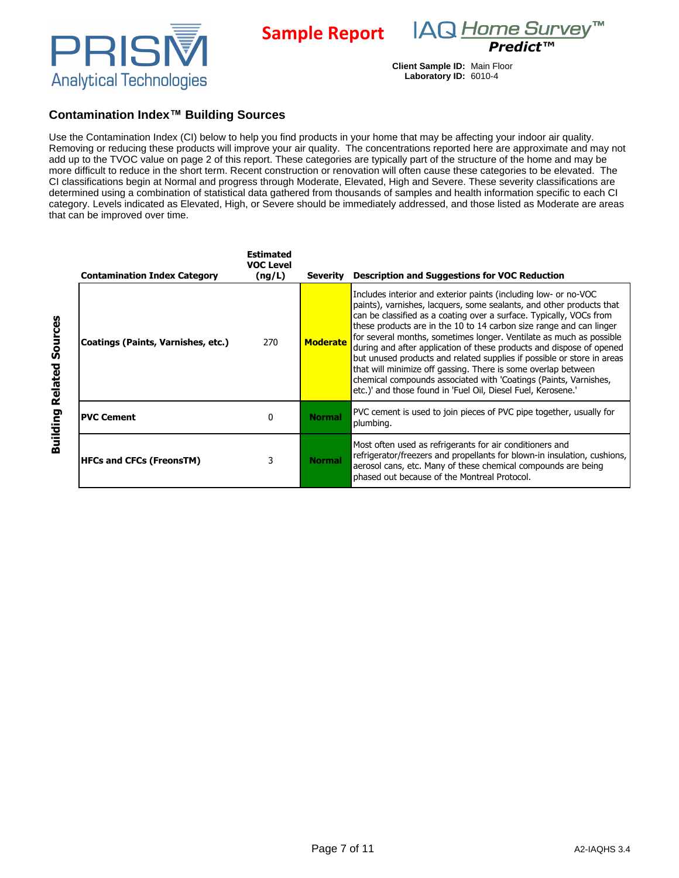



### **Contamination Index™ Building Sources**

Use the Contamination Index (CI) below to help you find products in your home that may be affecting your indoor air quality. Removing or reducing these products will improve your air quality. The concentrations reported here are approximate and may not add up to the TVOC value on page 2 of this report. These categories are typically part of the structure of the home and may be more difficult to reduce in the short term. Recent construction or renovation will often cause these categories to be elevated. The CI classifications begin at Normal and progress through Moderate, Elevated, High and Severe. These severity classifications are determined using a combination of statistical data gathered from thousands of samples and health information specific to each CI category. Levels indicated as Elevated, High, or Severe should be immediately addressed, and those listed as Moderate are areas that can be improved over time.

**Sample Report**

| <b>Contamination Index Category</b> | <b>Estimated</b><br><b>VOC Level</b><br>(ng/L) | <b>Severity</b> | <b>Description and Suggestions for VOC Reduction</b>                                                                                                                                                                                                                                                                                                                                                                                                                                                                                                                                                                                                                                                                |
|-------------------------------------|------------------------------------------------|-----------------|---------------------------------------------------------------------------------------------------------------------------------------------------------------------------------------------------------------------------------------------------------------------------------------------------------------------------------------------------------------------------------------------------------------------------------------------------------------------------------------------------------------------------------------------------------------------------------------------------------------------------------------------------------------------------------------------------------------------|
| Coatings (Paints, Varnishes, etc.)  | 270                                            | <b>Moderate</b> | Includes interior and exterior paints (including low- or no-VOC<br>paints), varnishes, lacquers, some sealants, and other products that<br>can be classified as a coating over a surface. Typically, VOCs from<br>these products are in the 10 to 14 carbon size range and can linger<br>for several months, sometimes longer. Ventilate as much as possible<br>during and after application of these products and dispose of opened<br>but unused products and related supplies if possible or store in areas<br>that will minimize off gassing. There is some overlap between<br>chemical compounds associated with 'Coatings (Paints, Varnishes,<br>etc.)' and those found in 'Fuel Oil, Diesel Fuel, Kerosene.' |
| <b>PVC Cement</b>                   | 0                                              | <b>Normal</b>   | PVC cement is used to join pieces of PVC pipe together, usually for<br>plumbing.                                                                                                                                                                                                                                                                                                                                                                                                                                                                                                                                                                                                                                    |
| <b>HFCs and CFCs (FreonsTM)</b>     | 3                                              | <b>Normal</b>   | Most often used as refrigerants for air conditioners and<br>refrigerator/freezers and propellants for blown-in insulation, cushions,<br>aerosol cans, etc. Many of these chemical compounds are being<br>phased out because of the Montreal Protocol.                                                                                                                                                                                                                                                                                                                                                                                                                                                               |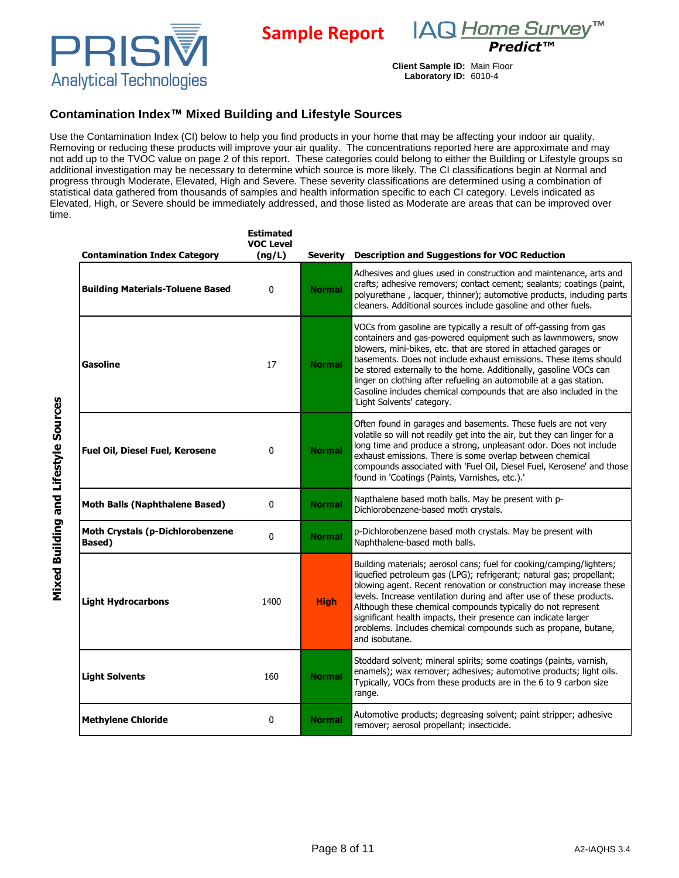

IAQ Home Survey<sup>™</sup> *Predict™*

## **Contamination Index™ Mixed Building and Lifestyle Sources**

Use the Contamination Index (CI) below to help you find products in your home that may be affecting your indoor air quality. Removing or reducing these products will improve your air quality. The concentrations reported here are approximate and may not add up to the TVOC value on page 2 of this report. These categories could belong to either the Building or Lifestyle groups so additional investigation may be necessary to determine which source is more likely. The CI classifications begin at Normal and progress through Moderate, Elevated, High and Severe. These severity classifications are determined using a combination of statistical data gathered from thousands of samples and health information specific to each CI category. Levels indicated as Elevated, High, or Severe should be immediately addressed, and those listed as Moderate are areas that can be improved over time.

**Sample Report**

| <b>Contamination Index Category</b>                       | <b>Estimated</b><br><b>VOC Level</b><br>(ng/L) | Severity                                                                                                                                                                                                                                                                                                                                                                                                                 | <b>Description and Suggestions for VOC Reduction</b>                                                                                                                                                                                                                                                                                                                                                                                                                                                                       |
|-----------------------------------------------------------|------------------------------------------------|--------------------------------------------------------------------------------------------------------------------------------------------------------------------------------------------------------------------------------------------------------------------------------------------------------------------------------------------------------------------------------------------------------------------------|----------------------------------------------------------------------------------------------------------------------------------------------------------------------------------------------------------------------------------------------------------------------------------------------------------------------------------------------------------------------------------------------------------------------------------------------------------------------------------------------------------------------------|
| <b>Building Materials-Toluene Based</b>                   | $\mathbf{0}$                                   | <b>Normal</b>                                                                                                                                                                                                                                                                                                                                                                                                            | Adhesives and glues used in construction and maintenance, arts and<br>crafts; adhesive removers; contact cement; sealants; coatings (paint,<br>polyurethane, lacquer, thinner); automotive products, including parts<br>cleaners. Additional sources include gasoline and other fuels.                                                                                                                                                                                                                                     |
| Gasoline                                                  | 17                                             | <b>Normal</b>                                                                                                                                                                                                                                                                                                                                                                                                            | VOCs from gasoline are typically a result of off-gassing from gas<br>containers and gas-powered equipment such as lawnmowers, snow<br>blowers, mini-bikes, etc. that are stored in attached garages or<br>basements. Does not include exhaust emissions. These items should<br>be stored externally to the home. Additionally, gasoline VOCs can<br>linger on clothing after refueling an automobile at a gas station.<br>Gasoline includes chemical compounds that are also included in the<br>'Light Solvents' category. |
| Fuel Oil, Diesel Fuel, Kerosene                           | $\mathbf{0}$                                   | Often found in garages and basements. These fuels are not very<br>volatile so will not readily get into the air, but they can linger for a<br>long time and produce a strong, unpleasant odor. Does not include<br><b>Normal</b><br>exhaust emissions. There is some overlap between chemical<br>compounds associated with 'Fuel Oil, Diesel Fuel, Kerosene' and those<br>found in 'Coatings (Paints, Varnishes, etc.).' |                                                                                                                                                                                                                                                                                                                                                                                                                                                                                                                            |
| Moth Balls (Naphthalene Based)                            | 0                                              | <b>Normal</b>                                                                                                                                                                                                                                                                                                                                                                                                            | Napthalene based moth balls. May be present with p-<br>Dichlorobenzene-based moth crystals.                                                                                                                                                                                                                                                                                                                                                                                                                                |
| <b>Moth Crystals (p-Dichlorobenzene</b><br><b>Based</b> ) | $\mathbf{0}$                                   | <b>Normal</b>                                                                                                                                                                                                                                                                                                                                                                                                            | p-Dichlorobenzene based moth crystals. May be present with<br>Naphthalene-based moth balls.                                                                                                                                                                                                                                                                                                                                                                                                                                |
| <b>Light Hydrocarbons</b>                                 | 1400                                           | <b>High</b>                                                                                                                                                                                                                                                                                                                                                                                                              | Building materials; aerosol cans; fuel for cooking/camping/lighters;<br>liquefied petroleum gas (LPG); refrigerant; natural gas; propellant;<br>blowing agent. Recent renovation or construction may increase these<br>levels. Increase ventilation during and after use of these products.<br>Although these chemical compounds typically do not represent<br>significant health impacts, their presence can indicate larger<br>problems. Includes chemical compounds such as propane, butane,<br>and isobutane.          |
| <b>Light Solvents</b>                                     | 160                                            | <b>Normal</b>                                                                                                                                                                                                                                                                                                                                                                                                            | Stoddard solvent; mineral spirits; some coatings (paints, varnish,<br>enamels); wax remover; adhesives; automotive products; light oils.<br>Typically, VOCs from these products are in the 6 to 9 carbon size<br>range.                                                                                                                                                                                                                                                                                                    |
| <b>Methylene Chloride</b>                                 | 0                                              | <b>Normal</b>                                                                                                                                                                                                                                                                                                                                                                                                            | Automotive products; degreasing solvent; paint stripper; adhesive<br>remover; aerosol propellant; insecticide.                                                                                                                                                                                                                                                                                                                                                                                                             |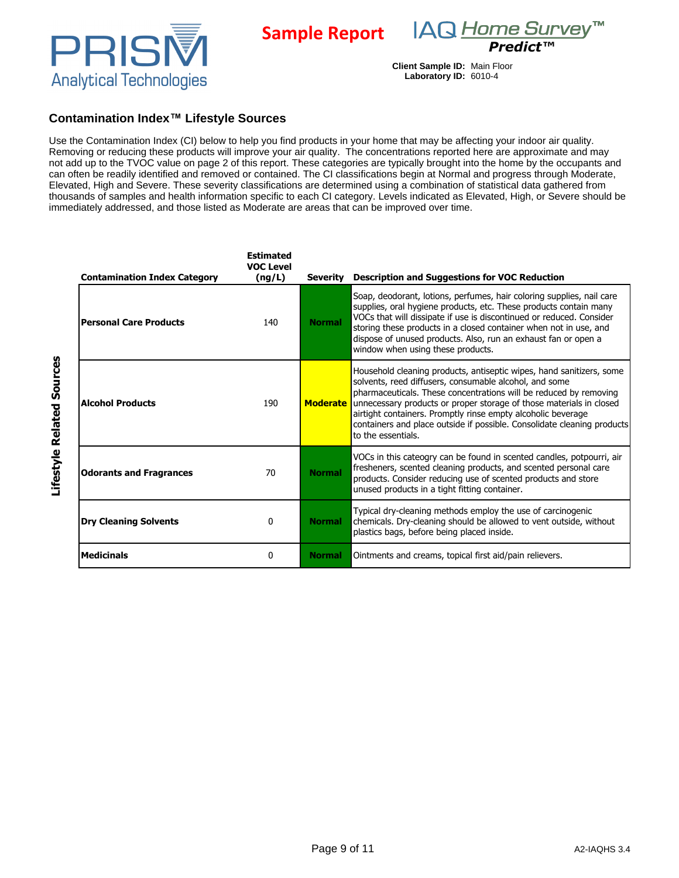



### **Contamination Index™ Lifestyle Sources**

Use the Contamination Index (CI) below to help you find products in your home that may be affecting your indoor air quality. Removing or reducing these products will improve your air quality. The concentrations reported here are approximate and may not add up to the TVOC value on page 2 of this report. These categories are typically brought into the home by the occupants and can often be readily identified and removed or contained. The CI classifications begin at Normal and progress through Moderate, Elevated, High and Severe. These severity classifications are determined using a combination of statistical data gathered from thousands of samples and health information specific to each CI category. Levels indicated as Elevated, High, or Severe should be immediately addressed, and those listed as Moderate are areas that can be improved over time.

**Sample Report**

| <b>Contamination Index Category</b> | <b>Estimated</b><br><b>VOC Level</b><br>(ng/L) | <b>Severity</b> | <b>Description and Suggestions for VOC Reduction</b>                                                                                                                                                                                                                                                                                                                                                                                        |
|-------------------------------------|------------------------------------------------|-----------------|---------------------------------------------------------------------------------------------------------------------------------------------------------------------------------------------------------------------------------------------------------------------------------------------------------------------------------------------------------------------------------------------------------------------------------------------|
| <b>Personal Care Products</b>       | 140                                            | <b>Normal</b>   | Soap, deodorant, lotions, perfumes, hair coloring supplies, nail care<br>supplies, oral hygiene products, etc. These products contain many<br>VOCs that will dissipate if use is discontinued or reduced. Consider<br>storing these products in a closed container when not in use, and<br>dispose of unused products. Also, run an exhaust fan or open a<br>window when using these products.                                              |
| <b>Alcohol Products</b>             | 190                                            | <b>Moderate</b> | Household cleaning products, antiseptic wipes, hand sanitizers, some<br>solvents, reed diffusers, consumable alcohol, and some<br>pharmaceuticals. These concentrations will be reduced by removing<br>unnecessary products or proper storage of those materials in closed<br>airtight containers. Promptly rinse empty alcoholic beverage<br>containers and place outside if possible. Consolidate cleaning products<br>to the essentials. |
| <b>Odorants and Fragrances</b>      | 70                                             | <b>Normal</b>   | VOCs in this cateogry can be found in scented candles, potpourri, air<br>fresheners, scented cleaning products, and scented personal care<br>products. Consider reducing use of scented products and store<br>unused products in a tight fitting container.                                                                                                                                                                                 |
| <b>Dry Cleaning Solvents</b>        | 0                                              | <b>Normal</b>   | Typical dry-cleaning methods employ the use of carcinogenic<br>chemicals. Dry-cleaning should be allowed to vent outside, without<br>plastics bags, before being placed inside.                                                                                                                                                                                                                                                             |
| <b>Medicinals</b>                   | 0                                              | <b>Normal</b>   | Ointments and creams, topical first aid/pain relievers.                                                                                                                                                                                                                                                                                                                                                                                     |

Lifestyle Related Sources **Lifestyle Related Sources**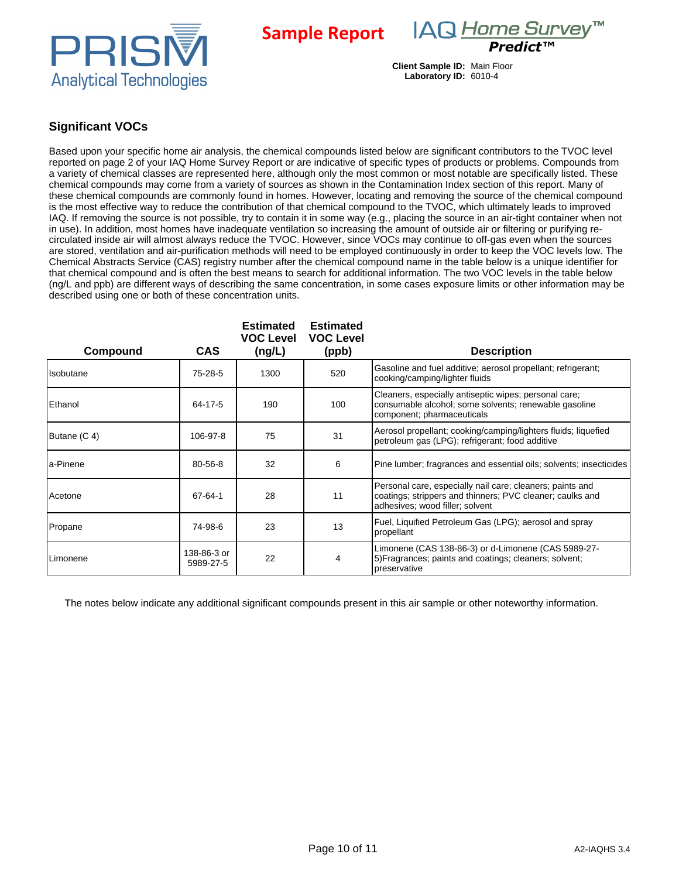

**Sample Report**

IAQ Home Survey™ *Predict™*

**Client Sample ID:** Main Floor **Laboratory ID:** 6010-4

# **Significant VOCs**

Based upon your specific home air analysis, the chemical compounds listed below are significant contributors to the TVOC level reported on page 2 of your IAQ Home Survey Report or are indicative of specific types of products or problems. Compounds from a variety of chemical classes are represented here, although only the most common or most notable are specifically listed. These chemical compounds may come from a variety of sources as shown in the Contamination Index section of this report. Many of these chemical compounds are commonly found in homes. However, locating and removing the source of the chemical compound is the most effective way to reduce the contribution of that chemical compound to the TVOC, which ultimately leads to improved IAQ. If removing the source is not possible, try to contain it in some way (e.g., placing the source in an air-tight container when not in use). In addition, most homes have inadequate ventilation so increasing the amount of outside air or filtering or purifying recirculated inside air will almost always reduce the TVOC. However, since VOCs may continue to off-gas even when the sources are stored, ventilation and air-purification methods will need to be employed continuously in order to keep the VOC levels low. The Chemical Abstracts Service (CAS) registry number after the chemical compound name in the table below is a unique identifier for that chemical compound and is often the best means to search for additional information. The two VOC levels in the table below (ng/L and ppb) are different ways of describing the same concentration, in some cases exposure limits or other information may be described using one or both of these concentration units.

| Compound       | <b>CAS</b>               | <b>Estimated</b><br><b>VOC Level</b><br>(ng/L) | <b>Estimated</b><br><b>VOC Level</b><br>(ppb) | <b>Description</b>                                                                                                                                        |
|----------------|--------------------------|------------------------------------------------|-----------------------------------------------|-----------------------------------------------------------------------------------------------------------------------------------------------------------|
| Isobutane      | 75-28-5                  | 1300                                           | 520                                           | Gasoline and fuel additive; aerosol propellant; refrigerant;<br>cooking/camping/lighter fluids                                                            |
| Ethanol        | 64-17-5                  | 190                                            | 100                                           | Cleaners, especially antiseptic wipes; personal care;<br>consumable alcohol; some solvents; renewable gasoline<br>component; pharmaceuticals              |
| Butane (C 4)   | 106-97-8                 | 75                                             | 31                                            | Aerosol propellant; cooking/camping/lighters fluids; liquefied<br>petroleum gas (LPG); refrigerant; food additive                                         |
| a-Pinene       | 80-56-8                  | 32                                             | 6                                             | Pine lumber; fragrances and essential oils; solvents; insecticides                                                                                        |
| <b>Acetone</b> | 67-64-1                  | 28                                             | 11                                            | Personal care, especially nail care; cleaners; paints and<br>coatings; strippers and thinners; PVC cleaner; caulks and<br>adhesives; wood filler; solvent |
| Propane        | 74-98-6                  | 23                                             | 13                                            | Fuel, Liquified Petroleum Gas (LPG); aerosol and spray<br>propellant                                                                                      |
| Limonene       | 138-86-3 or<br>5989-27-5 | 22                                             | 4                                             | Limonene (CAS 138-86-3) or d-Limonene (CAS 5989-27-<br>5) Fragrances; paints and coatings; cleaners; solvent;<br>preservative                             |

The notes below indicate any additional significant compounds present in this air sample or other noteworthy information.